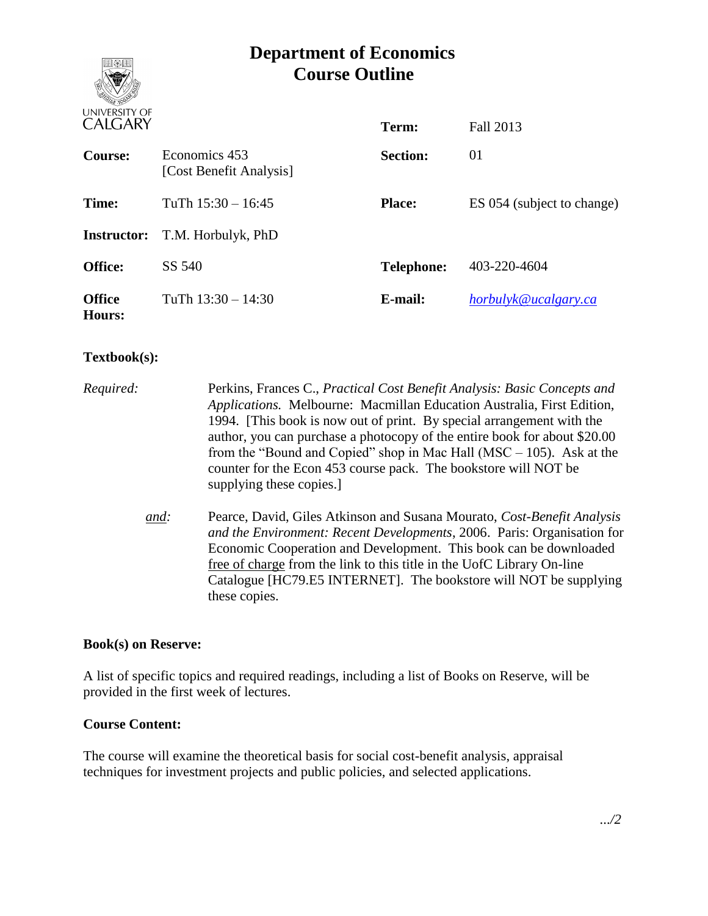# **Department of Economics Course Outline**



| <b>CALGARY</b>                 |                                          | Term:             | Fall 2013                  |
|--------------------------------|------------------------------------------|-------------------|----------------------------|
| <b>Course:</b>                 | Economics 453<br>[Cost Benefit Analysis] | <b>Section:</b>   | 01                         |
| Time:                          | TuTh $15:30 - 16:45$                     | <b>Place:</b>     | ES 054 (subject to change) |
| <b>Instructor:</b>             | T.M. Horbulyk, PhD                       |                   |                            |
| <b>Office:</b>                 | SS 540                                   | <b>Telephone:</b> | 403-220-4604               |
| <b>Office</b><br><b>Hours:</b> | TuTh $13:30 - 14:30$                     | E-mail:           | horbulyk@ucalgary.ca       |

# **Textbook(s):**

*Required:* Perkins, Frances C., *Practical Cost Benefit Analysis: Basic Concepts and Applications.* Melbourne: Macmillan Education Australia, First Edition, 1994. [This book is now out of print. By special arrangement with the author, you can purchase a photocopy of the entire book for about \$20.00 from the "Bound and Copied" shop in Mac Hall (MSC – 105). Ask at the counter for the Econ 453 course pack. The bookstore will NOT be supplying these copies.] *and:* Pearce, David, Giles Atkinson and Susana Mourato, *Cost-Benefit Analysis and the Environment: Recent Developments*, 2006. Paris: Organisation for Economic Cooperation and Development. This book can be downloaded free of charge from the link to this title in the UofC Library On-line

Catalogue [HC79.E5 INTERNET]. The bookstore will NOT be supplying

#### **Book(s) on Reserve:**

A list of specific topics and required readings, including a list of Books on Reserve, will be provided in the first week of lectures.

these copies.

# **Course Content:**

The course will examine the theoretical basis for social cost-benefit analysis, appraisal techniques for investment projects and public policies, and selected applications.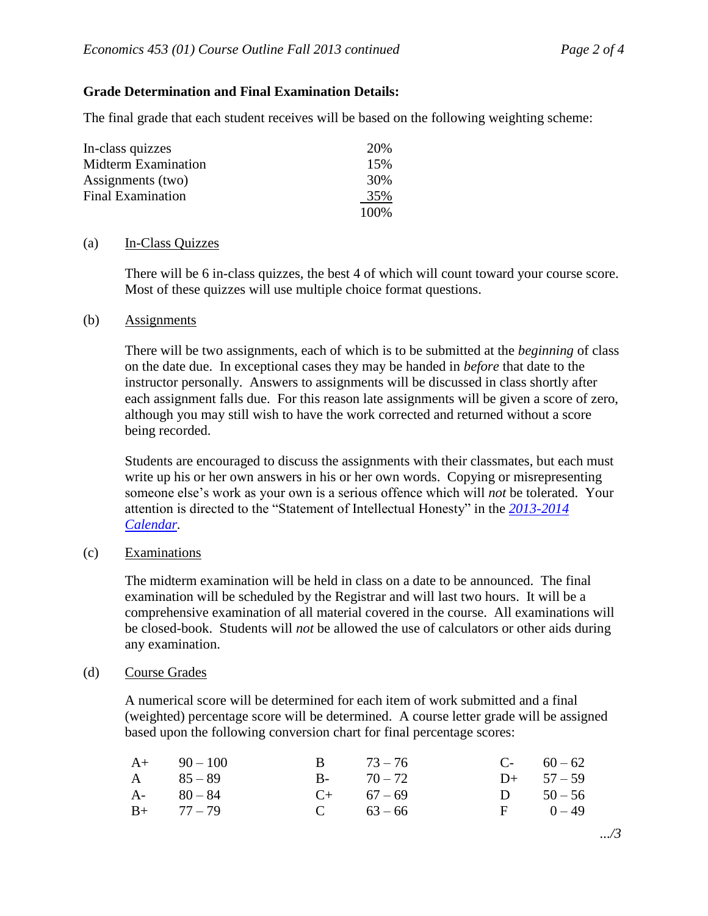## **Grade Determination and Final Examination Details:**

The final grade that each student receives will be based on the following weighting scheme:

| In-class quizzes         | 20\% |
|--------------------------|------|
| Midterm Examination      | 15%  |
| Assignments (two)        | 30%  |
| <b>Final Examination</b> | 35%  |
|                          | 100% |

#### (a) In-Class Quizzes

There will be 6 in-class quizzes, the best 4 of which will count toward your course score. Most of these quizzes will use multiple choice format questions.

#### (b) Assignments

There will be two assignments, each of which is to be submitted at the *beginning* of class on the date due. In exceptional cases they may be handed in *before* that date to the instructor personally. Answers to assignments will be discussed in class shortly after each assignment falls due. For this reason late assignments will be given a score of zero, although you may still wish to have the work corrected and returned without a score being recorded.

Students are encouraged to discuss the assignments with their classmates, but each must write up his or her own answers in his or her own words. Copying or misrepresenting someone else's work as your own is a serious offence which will *not* be tolerated. Your attention is directed to the "Statement of Intellectual Honesty" in the *[2013-2014](http://www.ucalgary.ca/pubs/calendar/current/k-2.html) [Calendar.](http://www.ucalgary.ca/pubs/calendar/current/k-2.html)*

#### (c) Examinations

The midterm examination will be held in class on a date to be announced. The final examination will be scheduled by the Registrar and will last two hours. It will be a comprehensive examination of all material covered in the course. All examinations will be closed-book. Students will *not* be allowed the use of calculators or other aids during any examination.

#### (d) Course Grades

A numerical score will be determined for each item of work submitted and a final (weighted) percentage score will be determined. A course letter grade will be assigned based upon the following conversion chart for final percentage scores:

| $A+$ 90 – 100 | B $73-76$     | $C-60-62$   |
|---------------|---------------|-------------|
| $A = 85 - 89$ | $B - 70 - 72$ | D+ $57-59$  |
| $A-80-84$     | $C+$ 67 – 69  | D $50 - 56$ |
| $B+ 77-79$    | C $63-66$     | $F = 0-49$  |

*.../3*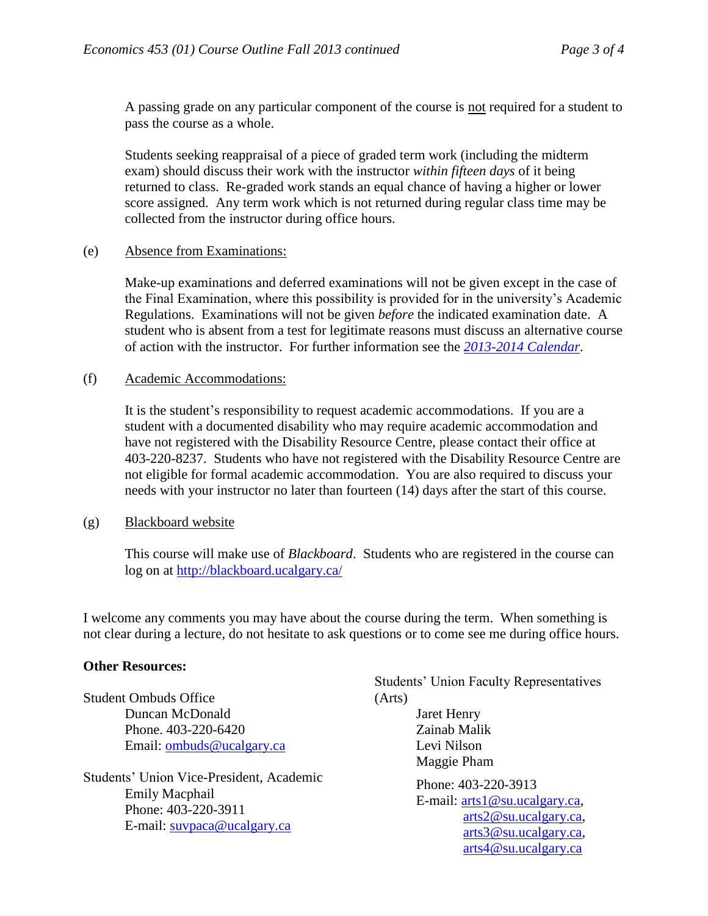A passing grade on any particular component of the course is not required for a student to pass the course as a whole.

Students seeking reappraisal of a piece of graded term work (including the midterm exam) should discuss their work with the instructor *within fifteen days* of it being returned to class. Re-graded work stands an equal chance of having a higher or lower score assigned. Any term work which is not returned during regular class time may be collected from the instructor during office hours.

### (e) Absence from Examinations:

Make-up examinations and deferred examinations will not be given except in the case of the Final Examination, where this possibility is provided for in the university's Academic Regulations. Examinations will not be given *before* the indicated examination date. A student who is absent from a test for legitimate reasons must discuss an alternative course of action with the instructor. For further information see the *[2013-2014](http://www.ucalgary.ca/pubs/calendar/current/e-3.html) Calendar*.

(f) Academic Accommodations:

It is the student's responsibility to request academic accommodations. If you are a student with a documented disability who may require academic accommodation and have not registered with the Disability Resource Centre, please contact their office at 403-220-8237. Students who have not registered with the Disability Resource Centre are not eligible for formal academic accommodation. You are also required to discuss your needs with your instructor no later than fourteen (14) days after the start of this course.

# (g) Blackboard website

This course will make use of *Blackboard*. Students who are registered in the course can log on at<http://blackboard.ucalgary.ca/>

I welcome any comments you may have about the course during the term. When something is not clear during a lecture, do not hesitate to ask questions or to come see me during office hours.

# **Other Resources:**

|                                                                                                                                | <b>Students' Union Faculty Representatives</b>                                                                                    |  |  |
|--------------------------------------------------------------------------------------------------------------------------------|-----------------------------------------------------------------------------------------------------------------------------------|--|--|
| <b>Student Ombuds Office</b>                                                                                                   | (Arts)                                                                                                                            |  |  |
| Duncan McDonald                                                                                                                | <b>Jaret Henry</b>                                                                                                                |  |  |
| Phone. 403-220-6420                                                                                                            | Zainab Malik                                                                                                                      |  |  |
| Email: ombuds@ucalgary.ca                                                                                                      | Levi Nilson                                                                                                                       |  |  |
|                                                                                                                                | Maggie Pham                                                                                                                       |  |  |
| <b>Students' Union Vice-President, Academic</b><br><b>Emily Macphail</b><br>Phone: 403-220-3911<br>E-mail: suvpaca@ucalgary.ca | Phone: 403-220-3913<br>E-mail: $arts1@su.ucalgary.ca$ ,<br>arts2@su.ucalgary.ca,<br>arts3@su.ucalgary.ca,<br>arts4@su.ucalgary.ca |  |  |